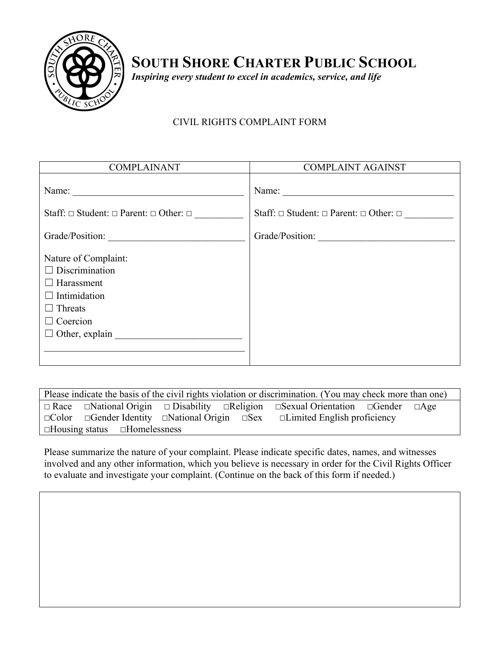

**SOUTH SHORE CHARTER PUBLIC SCHOOL**

*Inspiring every student to excel in academics, service, and life*

## CIVIL RIGHTS COMPLAINT FORM

| <b>COMPLAINANT</b>                                                                                                                                      | <b>COMPLAINT AGAINST</b>                                   |  |
|---------------------------------------------------------------------------------------------------------------------------------------------------------|------------------------------------------------------------|--|
| Name: $\qquad \qquad$                                                                                                                                   | Name:                                                      |  |
| Staff: $\Box$ Student: $\Box$ Parent: $\Box$ Other: $\Box$                                                                                              | Staff: $\Box$ Student: $\Box$ Parent: $\Box$ Other: $\Box$ |  |
| Grade/Position:                                                                                                                                         | Grade/Position:                                            |  |
| Nature of Complaint:<br>$\Box$ Discrimination<br>$\Box$ Harassment<br>$\Box$ Intimidation<br>$\Box$ Threats<br>$\Box$ Coercion<br>$\Box$ Other, explain |                                                            |  |

Please indicate the basis of the civil rights violation or discrimination. (You may check more than one) **☐** Race **☐**National Origin **☐** Disability **☐**Religion **☐**Sexual Orientation **☐**Gender **☐**Age **☐**Color **☐**Gender Identity **☐**National Origin **☐**Sex **☐**Limited English proficiency **☐**Housing status **☐**Homelessness

Please summarize the nature of your complaint. Please indicate specific dates, names, and witnesses involved and any other information, which you believe is necessary in order for the Civil Rights Officer to evaluate and investigate your complaint. (Continue on the back of this form if needed.)